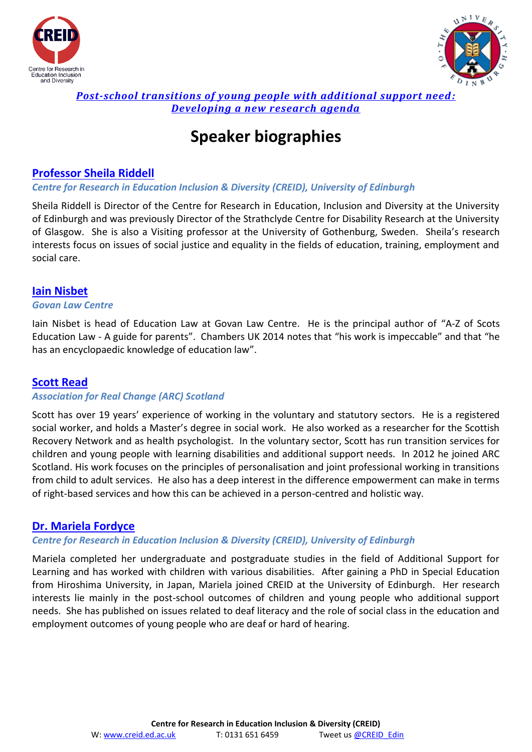



## *[Post-school transitions of young people with additional support need:](http://bit.ly/Post-sch-transit-ASN-YP) [Developing a new research agenda](http://bit.ly/Post-sch-transit-ASN-YP)*

# **Speaker biographies**

# **[Professor Sheila Riddell](http://www.research.ed.ac.uk/portal/en/persons/sheila-riddell%28abab349a-3c0b-458b-94f9-814cb5b0d779%29.html)**

## *Centre for Research in Education Inclusion & Diversity (CREID), University of Edinburgh*

Sheila Riddell is Director of the Centre for Research in Education, Inclusion and Diversity at the University of Edinburgh and was previously Director of the Strathclyde Centre for Disability Research at the University of Glasgow. She is also a Visiting professor at the University of Gothenburg, Sweden. Sheila's research interests focus on issues of social justice and equality in the fields of education, training, employment and social care.

## **[Iain Nisbet](http://www.edlaw.org.uk/?page_id=6)**

#### *Govan Law Centre*

Iain Nisbet is head of Education Law at Govan Law Centre. He is the principal author of "A-Z of Scots Education Law - A guide for parents". Chambers UK 2014 notes that "his work is impeccable" and that "he has an encyclopaedic knowledge of education law".

## **[Scott Read](http://arcuk.org.uk/scotland/arc-scotland-team/)**

## *Association for Real Change (ARC) Scotland*

Scott has over 19 years' experience of working in the voluntary and statutory sectors. He is a registered social worker, and holds a Master's degree in social work. He also worked as a researcher for the Scottish Recovery Network and as health psychologist. In the voluntary sector, Scott has run transition services for children and young people with learning disabilities and additional support needs. In 2012 he joined ARC Scotland. His work focuses on the principles of personalisation and joint professional working in transitions from child to adult services. He also has a deep interest in the difference empowerment can make in terms of right-based services and how this can be achieved in a person-centred and holistic way.

## **[Dr. Mariela Fordyce](http://www.ed.ac.uk/schools-departments/education/about-us/people/academic-staff?person_id=427&cw_xml=profile.php)**

## *Centre for Research in Education Inclusion & Diversity (CREID), University of Edinburgh*

Mariela completed her undergraduate and postgraduate studies in the field of Additional Support for Learning and has worked with children with various disabilities. After gaining a PhD in Special Education from Hiroshima University, in Japan, Mariela joined CREID at the University of Edinburgh. Her research interests lie mainly in the post-school outcomes of children and young people who additional support needs. She has published on issues related to deaf literacy and the role of social class in the education and employment outcomes of young people who are deaf or hard of hearing.